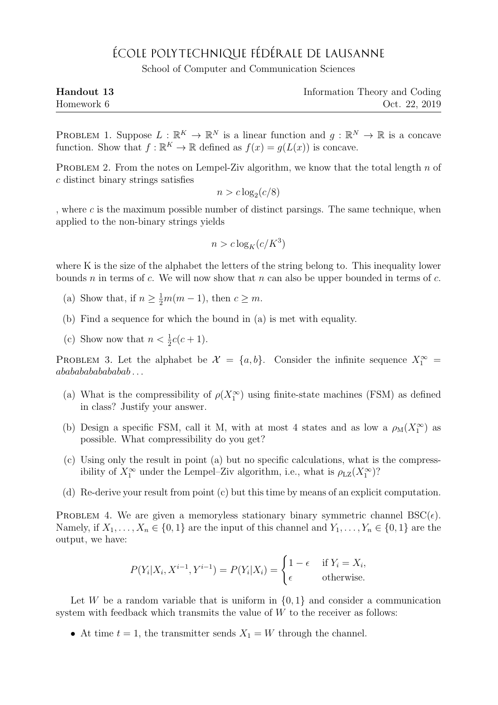## ÉCOLE POLYTECHNIQUE FÉDÉRALE DE LAUSANNE

School of Computer and Communication Sciences

| Handout 13 | Information Theory and Coding |
|------------|-------------------------------|
| Homework 6 | Oct. 22, 2019                 |

PROBLEM 1. Suppose  $L : \mathbb{R}^K \to \mathbb{R}^N$  is a linear function and  $g : \mathbb{R}^N \to \mathbb{R}$  is a concave function. Show that  $f : \mathbb{R}^K \to \mathbb{R}$  defined as  $f(x) = g(L(x))$  is concave.

PROBLEM 2. From the notes on Lempel-Ziv algorithm, we know that the total length n of c distinct binary strings satisfies

$$
n > c \log_2(c/8)
$$

, where  $c$  is the maximum possible number of distinct parsings. The same technique, when applied to the non-binary strings yields

$$
n > c \log_K(c/K^3)
$$

where K is the size of the alphabet the letters of the string belong to. This inequality lower bounds n in terms of c. We will now show that n can also be upper bounded in terms of c.

- (a) Show that, if  $n \geq \frac{1}{2}m(m-1)$ , then  $c \geq m$ .
- (b) Find a sequence for which the bound in (a) is met with equality.
- (c) Show now that  $n < \frac{1}{2}c(c+1)$ .

PROBLEM 3. Let the alphabet be  $\mathcal{X} = \{a, b\}$ . Consider the infinite sequence  $X_1^{\infty}$  $ababababababab...$ 

- (a) What is the compressibility of  $\rho(X_1^{\infty})$  using finite-state machines (FSM) as defined in class? Justify your answer.
- (b) Design a specific FSM, call it M, with at most 4 states and as low a  $\rho_M(X_1^{\infty})$  as possible. What compressibility do you get?
- (c) Using only the result in point (a) but no specific calculations, what is the compressibility of  $X_1^{\infty}$  under the Lempel–Ziv algorithm, i.e., what is  $\rho_{\text{LZ}}(X_1^{\infty})$ ?
- (d) Re-derive your result from point (c) but this time by means of an explicit computation.

PROBLEM 4. We are given a memoryless stationary binary symmetric channel  $BSC(\epsilon)$ . Namely, if  $X_1, \ldots, X_n \in \{0,1\}$  are the input of this channel and  $Y_1, \ldots, Y_n \in \{0,1\}$  are the output, we have:

$$
P(Y_i|X_i, X^{i-1}, Y^{i-1}) = P(Y_i|X_i) = \begin{cases} 1 - \epsilon & \text{if } Y_i = X_i, \\ \epsilon & \text{otherwise.} \end{cases}
$$

Let W be a random variable that is uniform in  $\{0, 1\}$  and consider a communication system with feedback which transmits the value of  $W$  to the receiver as follows:

• At time  $t = 1$ , the transmitter sends  $X_1 = W$  through the channel.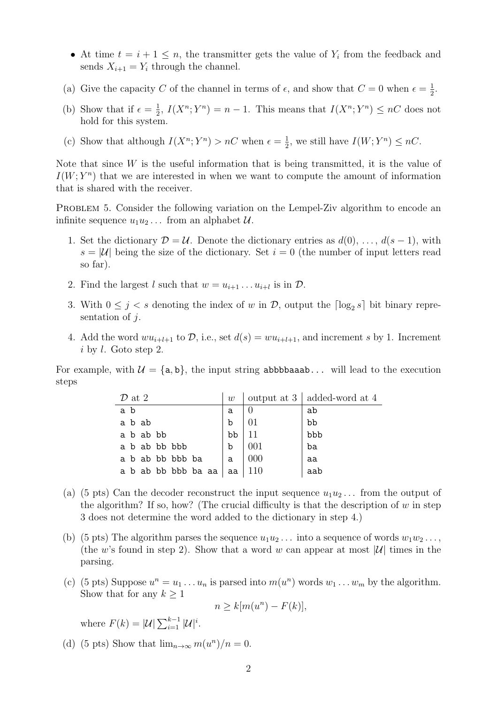- At time  $t = i + 1 \leq n$ , the transmitter gets the value of  $Y_i$  from the feedback and sends  $X_{i+1} = Y_i$  through the channel.
- (a) Give the capacity C of the channel in terms of  $\epsilon$ , and show that  $C=0$  when  $\epsilon = \frac{1}{2}$  $\frac{1}{2}$ .
- (b) Show that if  $\epsilon = \frac{1}{2}$  $\frac{1}{2}$ ,  $I(X^n; Y^n) = n - 1$ . This means that  $I(X^n; Y^n) \leq nC$  does not hold for this system.
- (c) Show that although  $I(X^n; Y^n) > nC$  when  $\epsilon = \frac{1}{2}$  $\frac{1}{2}$ , we still have  $I(W;Y^n) \leq nC$ .

Note that since  $W$  is the useful information that is being transmitted, it is the value of  $I(W; Y<sup>n</sup>)$  that we are interested in when we want to compute the amount of information that is shared with the receiver.

PROBLEM 5. Consider the following variation on the Lempel-Ziv algorithm to encode an infinite sequence  $u_1u_2...$  from an alphabet  $\mathcal{U}.$ 

- 1. Set the dictionary  $\mathcal{D} = \mathcal{U}$ . Denote the dictionary entries as  $d(0), \ldots, d(s-1)$ , with  $s = |\mathcal{U}|$  being the size of the dictionary. Set  $i = 0$  (the number of input letters read so far).
- 2. Find the largest l such that  $w = u_{i+1} \dots u_{i+l}$  is in  $\mathcal{D}$ .
- 3. With  $0 \leq j < s$  denoting the index of w in  $\mathcal{D}$ , output the  $\lceil \log_2 s \rceil$  bit binary representation of  $i$ .
- 4. Add the word  $wu_{i+l+1}$  to  $\mathcal{D}$ , i.e., set  $d(s) = w u_{i+l+1}$ , and increment s by 1. Increment i by l. Goto step 2.

For example, with  $\mathcal{U} = \{a, b\}$ , the input string abbbbaaab... will lead to the execution steps

| $\mathcal{D}$ at 2  | w           |     | output at $3 \mid \text{added-word at } 4$ |
|---------------------|-------------|-----|--------------------------------------------|
| a b                 | a           |     | ab                                         |
| a b ab              | $\mathbf b$ |     | bb                                         |
| a b ab bb           | bb          |     | bbb                                        |
| a b ab bb bbb       | $\mathbf b$ | 001 | ba                                         |
| a b ab bb bbb ba    | a           | 000 | aa                                         |
| a b ab bb bbb ba aa | aa          | 110 | aab                                        |

- (a) (5 pts) Can the decoder reconstruct the input sequence  $u_1u_2...$  from the output of the algorithm? If so, how? (The crucial difficulty is that the description of  $w$  in step 3 does not determine the word added to the dictionary in step 4.)
- (b) (5 pts) The algorithm parses the sequence  $u_1u_2...$  into a sequence of words  $w_1w_2...$ , (the w's found in step 2). Show that a word w can appear at most  $|\mathcal{U}|$  times in the parsing.
- (c) (5 pts) Suppose  $u^n = u_1 \dots u_n$  is parsed into  $m(u^n)$  words  $w_1 \dots w_m$  by the algorithm. Show that for any  $k \geq 1$

$$
n \ge k[m(u^n) - F(k)],
$$

where  $F(k) = |\mathcal{U}| \sum_{i=1}^{k-1} |\mathcal{U}|^i$ .

(d) (5 pts) Show that  $\lim_{n\to\infty} m(u^n)/n = 0$ .